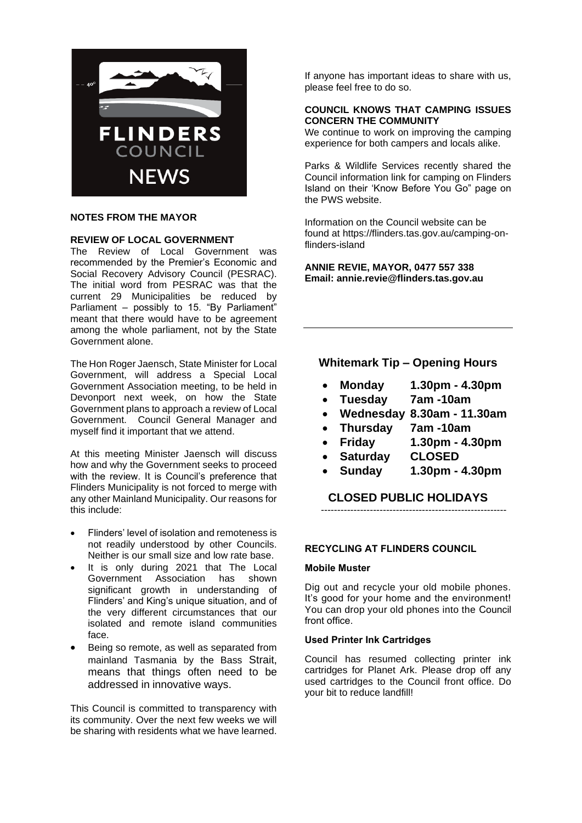

## **NOTES FROM THE MAYOR**

## **REVIEW OF LOCAL GOVERNMENT**

The Review of Local Government was recommended by the Premier's Economic and Social Recovery Advisory Council (PESRAC). The initial word from PESRAC was that the current 29 Municipalities be reduced by Parliament – possibly to 15. "By Parliament" meant that there would have to be agreement among the whole parliament, not by the State Government alone.

The Hon Roger Jaensch, State Minister for Local Government, will address a Special Local Government Association meeting, to be held in Devonport next week, on how the State Government plans to approach a review of Local Government. Council General Manager and myself find it important that we attend.

At this meeting Minister Jaensch will discuss how and why the Government seeks to proceed with the review. It is Council's preference that Flinders Municipality is not forced to merge with any other Mainland Municipality. Our reasons for this include:

- Flinders' level of isolation and remoteness is not readily understood by other Councils. Neither is our small size and low rate base.
- It is only during 2021 that The Local Government Association has shown significant growth in understanding of Flinders' and King's unique situation, and of the very different circumstances that our isolated and remote island communities face.
- Being so remote, as well as separated from mainland Tasmania by the Bass Strait, means that things often need to be addressed in innovative ways.

This Council is committed to transparency with its community. Over the next few weeks we will be sharing with residents what we have learned. If anyone has important ideas to share with us, please feel free to do so.

#### **COUNCIL KNOWS THAT CAMPING ISSUES CONCERN THE COMMUNITY**

We continue to work on improving the camping experience for both campers and locals alike.

Parks & Wildlife Services recently shared the Council information link for camping on Flinders Island on their 'Know Before You Go" page on the PWS website.

Information on the Council website can be found at https://flinders.tas.gov.au/camping-onflinders-island

**ANNIE REVIE, MAYOR, 0477 557 338 Email: annie.revie@flinders.tas.gov.au**

# **Whitemark Tip – Opening Hours**

- **Monday 1.30pm - 4.30pm**
- **Tuesday 7am -10am**
- **Wednesday 8.30am - 11.30am**
- **Thursday 7am -10am**
- **Friday 1.30pm - 4.30pm**
- **Saturday CLOSED**
- **Sunday 1.30pm - 4.30pm**

**CLOSED PUBLIC HOLIDAYS** ---------------------------------------------------------

**RECYCLING AT FLINDERS COUNCIL** 

#### **Mobile Muster**

Dig out and recycle your old mobile phones. It's good for your home and the environment! You can drop your old phones into the Council front office.

# **Used Printer Ink Cartridges**

Council has resumed collecting printer ink cartridges for Planet Ark. Please drop off any used cartridges to the Council front office. Do your bit to reduce landfill!